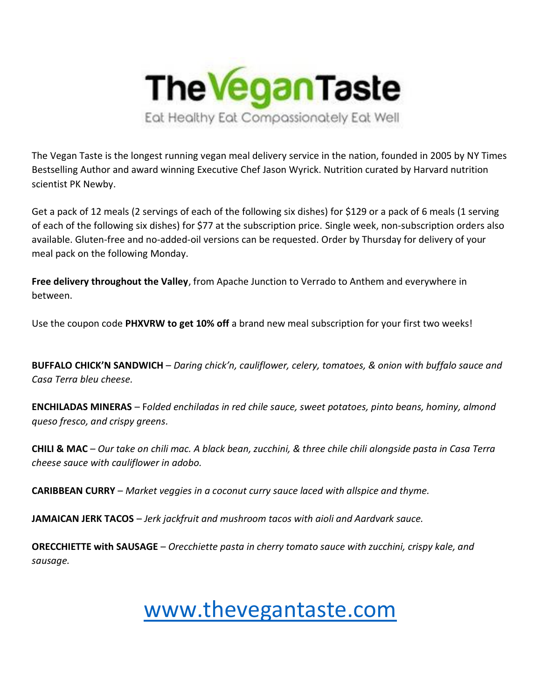

The Vegan Taste is the longest running vegan meal delivery service in the nation, founded in 2005 by NY Times Bestselling Author and award winning Executive Chef Jason Wyrick. Nutrition curated by Harvard nutrition scientist PK Newby.

Get a pack of 12 meals (2 servings of each of the following six dishes) for \$129 or a pack of 6 meals (1 serving of each of the following six dishes) for \$77 at the subscription price. Single week, non-subscription orders also available. Gluten-free and no-added-oil versions can be requested. Order by Thursday for delivery of your meal pack on the following Monday.

**Free delivery throughout the Valley**, from Apache Junction to Verrado to Anthem and everywhere in between.

Use the coupon code **PHXVRW to get 10% off** a brand new meal subscription for your first two weeks!

**BUFFALO CHICK'N SANDWICH** – *Daring chick'n, cauliflower, celery, tomatoes, & onion with buffalo sauce and Casa Terra bleu cheese.*

**ENCHILADAS MINERAS** – F*olded enchiladas in red chile sauce, sweet potatoes, pinto beans, hominy, almond queso fresco, and crispy greens.*

**CHILI & MAC** – *Our take on chili mac. A black bean, zucchini, & three chile chili alongside pasta in Casa Terra cheese sauce with cauliflower in adobo.*

**CARIBBEAN CURRY** – *Market veggies in a coconut curry sauce laced with allspice and thyme.*

**JAMAICAN JERK TACOS** – *Jerk jackfruit and mushroom tacos with aioli and Aardvark sauce.*

**ORECCHIETTE with SAUSAGE** – *Orecchiette pasta in cherry tomato sauce with zucchini, crispy kale, and sausage.*

## [www.thevegantaste.com](http://www.thevegantaste.com/)